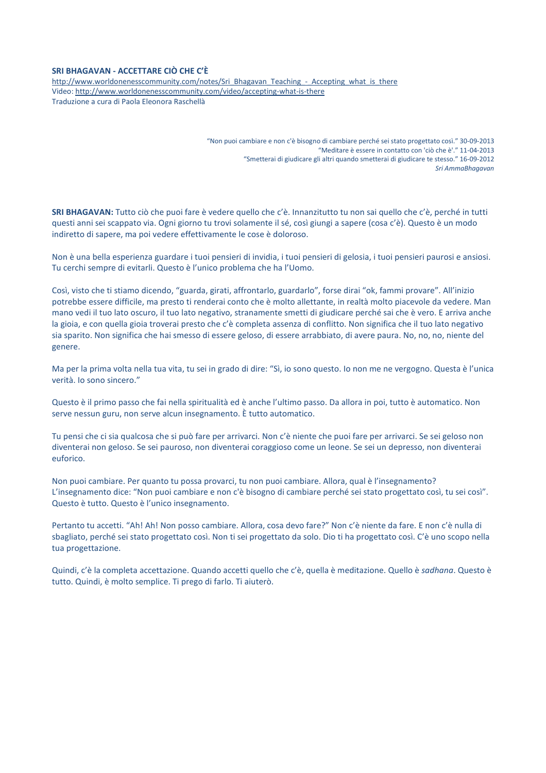## **SRI BHAGAVAN - ACCETTARE CIÒ CHE C'È**

http://www.worldonenesscommunity.com/notes/Sri\_Bhagavan\_Teaching\_-\_Accepting\_what\_is\_there Video: http://www.worldonenesscommunity.com/video/accepting-what-is-there Traduzione a cura di Paola Eleonora Raschellà

> "Non puoi cambiare e non c'è bisogno di cambiare perché sei stato progettato così." 30-09-2013 "Meditare è essere in contatto con 'ciò che è'." 11-04-2013 "Smetterai di giudicare gli altri quando smetterai di giudicare te stesso." 16-09-2012 *Sri AmmaBhagavan*

**SRI BHAGAVAN:** Tutto ciò che puoi fare è vedere quello che c'è. Innanzitutto tu non sai quello che c'è, perché in tutti questi anni sei scappato via. Ogni giorno tu trovi solamente il sé, così giungi a sapere (cosa c'è). Questo è un modo indiretto di sapere, ma poi vedere effettivamente le cose è doloroso.

Non è una bella esperienza guardare i tuoi pensieri di invidia, i tuoi pensieri di gelosia, i tuoi pensieri paurosi e ansiosi. Tu cerchi sempre di evitarli. Questo è l'unico problema che ha l'Uomo.

Così, visto che ti stiamo dicendo, "guarda, girati, affrontarlo, guardarlo", forse dirai "ok, fammi provare". All'inizio potrebbe essere difficile, ma presto ti renderai conto che è molto allettante, in realtà molto piacevole da vedere. Man mano vedi il tuo lato oscuro, il tuo lato negativo, stranamente smetti di giudicare perché sai che è vero. E arriva anche la gioia, e con quella gioia troverai presto che c'è completa assenza di conflitto. Non significa che il tuo lato negativo sia sparito. Non significa che hai smesso di essere geloso, di essere arrabbiato, di avere paura. No, no, no, niente del genere.

Ma per la prima volta nella tua vita, tu sei in grado di dire: "Sì, io sono questo. Io non me ne vergogno. Questa è l'unica verità. Io sono sincero."

Questo è il primo passo che fai nella spiritualità ed è anche l'ultimo passo. Da allora in poi, tutto è automatico. Non serve nessun guru, non serve alcun insegnamento. È tutto automatico.

Tu pensi che ci sia qualcosa che si può fare per arrivarci. Non c'è niente che puoi fare per arrivarci. Se sei geloso non diventerai non geloso. Se sei pauroso, non diventerai coraggioso come un leone. Se sei un depresso, non diventerai euforico.

Non puoi cambiare. Per quanto tu possa provarci, tu non puoi cambiare. Allora, qual è l'insegnamento? L'insegnamento dice: "Non puoi cambiare e non c'è bisogno di cambiare perché sei stato progettato così, tu sei così". Questo è tutto. Questo è l'unico insegnamento.

Pertanto tu accetti. "Ah! Ah! Non posso cambiare. Allora, cosa devo fare?" Non c'è niente da fare. E non c'è nulla di sbagliato, perché sei stato progettato così. Non ti sei progettato da solo. Dio ti ha progettato così. C'è uno scopo nella tua progettazione.

Quindi, c'è la completa accettazione. Quando accetti quello che c'è, quella è meditazione. Quello è *sadhana*. Questo è tutto. Quindi, è molto semplice. Ti prego di farlo. Ti aiuterò.